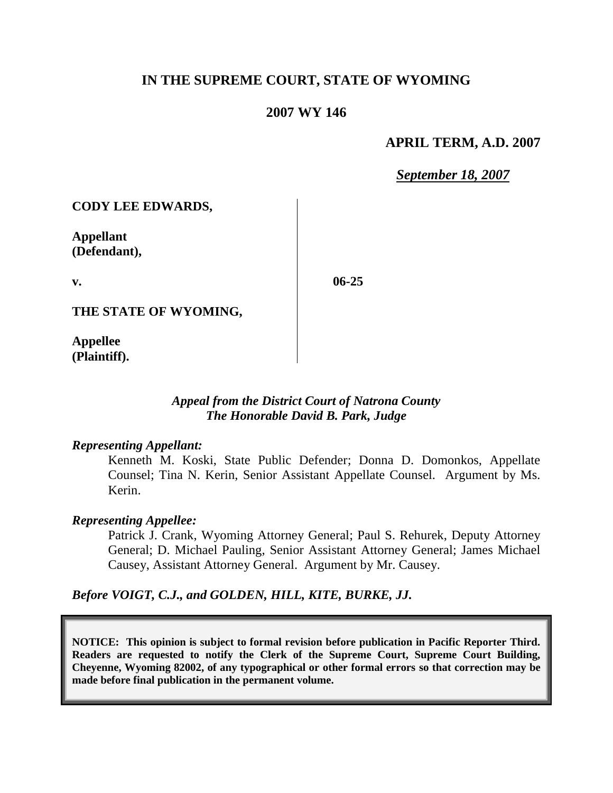# **IN THE SUPREME COURT, STATE OF WYOMING**

## **2007 WY 146**

## **APRIL TERM, A.D. 2007**

*September 18, 2007*

**CODY LEE EDWARDS,**

**Appellant (Defendant),**

**v.**

**06-25**

**THE STATE OF WYOMING,**

**Appellee (Plaintiff).**

## *Appeal from the District Court of Natrona County The Honorable David B. Park, Judge*

#### *Representing Appellant:*

Kenneth M. Koski, State Public Defender; Donna D. Domonkos, Appellate Counsel; Tina N. Kerin, Senior Assistant Appellate Counsel. Argument by Ms. Kerin.

### *Representing Appellee:*

Patrick J. Crank, Wyoming Attorney General; Paul S. Rehurek, Deputy Attorney General; D. Michael Pauling, Senior Assistant Attorney General; James Michael Causey, Assistant Attorney General. Argument by Mr. Causey.

### *Before VOIGT, C.J., and GOLDEN, HILL, KITE, BURKE, JJ.*

**NOTICE: This opinion is subject to formal revision before publication in Pacific Reporter Third. Readers are requested to notify the Clerk of the Supreme Court, Supreme Court Building, Cheyenne, Wyoming 82002, of any typographical or other formal errors so that correction may be made before final publication in the permanent volume.**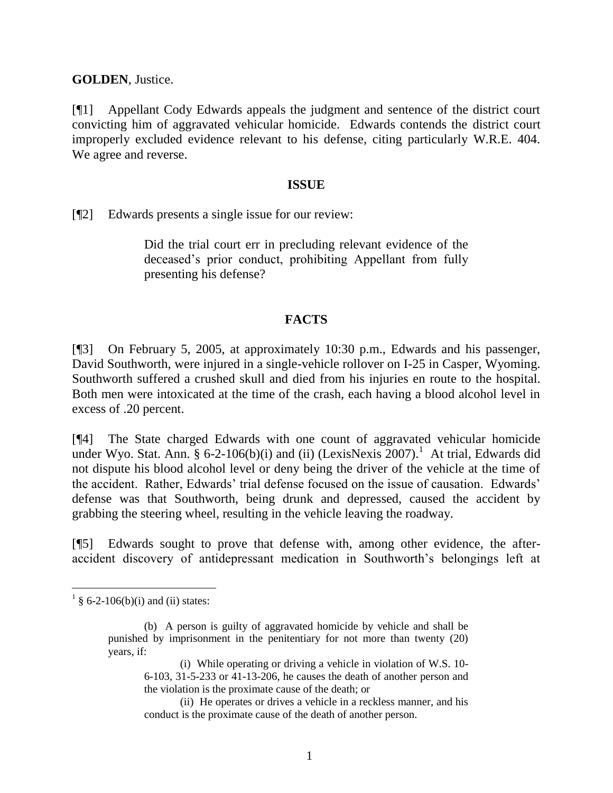**GOLDEN**, Justice.

[¶1] Appellant Cody Edwards appeals the judgment and sentence of the district court convicting him of aggravated vehicular homicide. Edwards contends the district court improperly excluded evidence relevant to his defense, citing particularly W.R.E. 404. We agree and reverse.

#### **ISSUE**

[¶2] Edwards presents a single issue for our review:

Did the trial court err in precluding relevant evidence of the deceased's prior conduct, prohibiting Appellant from fully presenting his defense?

## **FACTS**

[¶3] On February 5, 2005, at approximately 10:30 p.m., Edwards and his passenger, David Southworth, were injured in a single-vehicle rollover on I-25 in Casper, Wyoming. Southworth suffered a crushed skull and died from his injuries en route to the hospital. Both men were intoxicated at the time of the crash, each having a blood alcohol level in excess of .20 percent.

[¶4] The State charged Edwards with one count of aggravated vehicular homicide under Wyo. Stat. Ann. § 6-2-106(b)(i) and (ii) (LexisNexis 2007).<sup>1</sup> At trial, Edwards did not dispute his blood alcohol level or deny being the driver of the vehicle at the time of the accident. Rather, Edwards' trial defense focused on the issue of causation. Edwards' defense was that Southworth, being drunk and depressed, caused the accident by grabbing the steering wheel, resulting in the vehicle leaving the roadway.

[¶5] Edwards sought to prove that defense with, among other evidence, the afteraccident discovery of antidepressant medication in Southworth's belongings left at

 $\overline{a}$ 

 $\frac{1}{9}$  § 6-2-106(b)(i) and (ii) states:

<sup>(</sup>b) A person is guilty of aggravated homicide by vehicle and shall be punished by imprisonment in the penitentiary for not more than twenty (20) years, if:

<sup>(</sup>i) While operating or driving a vehicle in violation of W.S. 10- 6-103, 31-5-233 or 41-13-206, he causes the death of another person and the violation is the proximate cause of the death; or

<sup>(</sup>ii) He operates or drives a vehicle in a reckless manner, and his conduct is the proximate cause of the death of another person.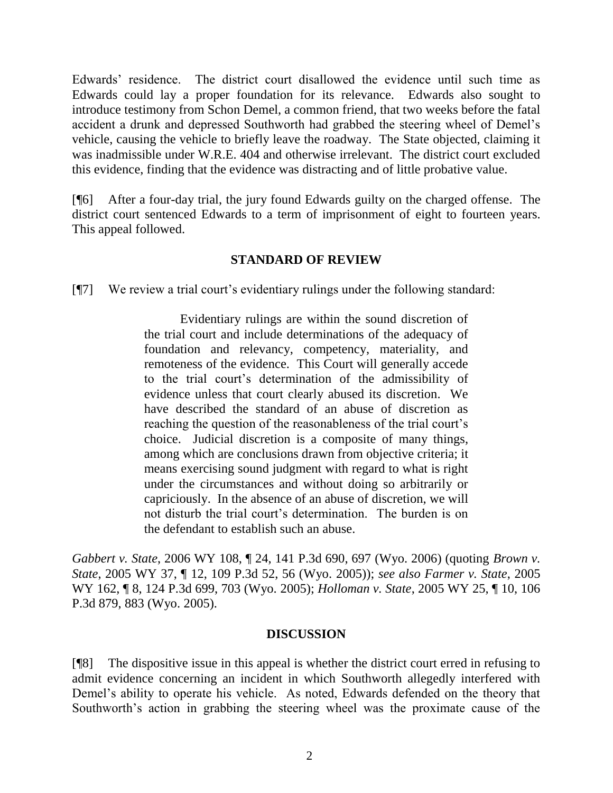Edwards' residence. The district court disallowed the evidence until such time as Edwards could lay a proper foundation for its relevance. Edwards also sought to introduce testimony from Schon Demel, a common friend, that two weeks before the fatal accident a drunk and depressed Southworth had grabbed the steering wheel of Demel's vehicle, causing the vehicle to briefly leave the roadway. The State objected, claiming it was inadmissible under W.R.E. 404 and otherwise irrelevant. The district court excluded this evidence, finding that the evidence was distracting and of little probative value.

[¶6] After a four-day trial, the jury found Edwards guilty on the charged offense. The district court sentenced Edwards to a term of imprisonment of eight to fourteen years. This appeal followed.

## **STANDARD OF REVIEW**

[¶7] We review a trial court's evidentiary rulings under the following standard:

Evidentiary rulings are within the sound discretion of the trial court and include determinations of the adequacy of foundation and relevancy, competency, materiality, and remoteness of the evidence. This Court will generally accede to the trial court's determination of the admissibility of evidence unless that court clearly abused its discretion. We have described the standard of an abuse of discretion as reaching the question of the reasonableness of the trial court's choice. Judicial discretion is a composite of many things, among which are conclusions drawn from objective criteria; it means exercising sound judgment with regard to what is right under the circumstances and without doing so arbitrarily or capriciously. In the absence of an abuse of discretion, we will not disturb the trial court's determination. The burden is on the defendant to establish such an abuse.

*Gabbert v. State*, 2006 WY 108, ¶ 24, 141 P.3d 690, 697 (Wyo. 2006) (quoting *Brown v. State*, 2005 WY 37, ¶ 12, 109 P.3d 52, 56 (Wyo. 2005)); *see also Farmer v. State*, 2005 WY 162, ¶ 8, 124 P.3d 699, 703 (Wyo. 2005); *Holloman v. State*, 2005 WY 25, ¶ 10, 106 P.3d 879, 883 (Wyo. 2005).

### **DISCUSSION**

[¶8] The dispositive issue in this appeal is whether the district court erred in refusing to admit evidence concerning an incident in which Southworth allegedly interfered with Demel's ability to operate his vehicle. As noted, Edwards defended on the theory that Southworth's action in grabbing the steering wheel was the proximate cause of the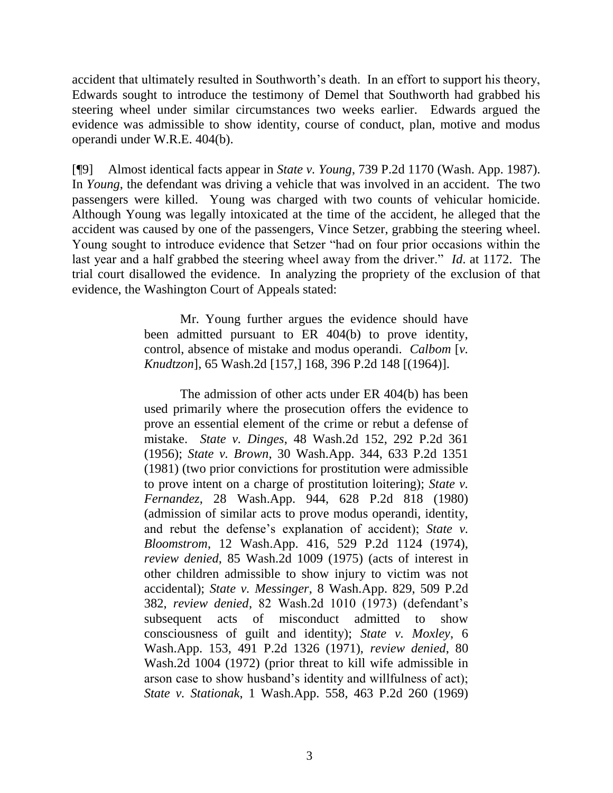accident that ultimately resulted in Southworth's death. In an effort to support his theory, Edwards sought to introduce the testimony of Demel that Southworth had grabbed his steering wheel under similar circumstances two weeks earlier. Edwards argued the evidence was admissible to show identity, course of conduct, plan, motive and modus operandi under W.R.E. 404(b).

[¶9] Almost identical facts appear in *State v. Young*, 739 P.2d 1170 (Wash. App. 1987). In *Young*, the defendant was driving a vehicle that was involved in an accident. The two passengers were killed. Young was charged with two counts of vehicular homicide. Although Young was legally intoxicated at the time of the accident, he alleged that the accident was caused by one of the passengers, Vince Setzer, grabbing the steering wheel. Young sought to introduce evidence that Setzer "had on four prior occasions within the last year and a half grabbed the steering wheel away from the driver." *Id*. at 1172. The trial court disallowed the evidence. In analyzing the propriety of the exclusion of that evidence, the Washington Court of Appeals stated:

> Mr. Young further argues the evidence should have been admitted pursuant to ER 404(b) to prove identity, control, absence of mistake and modus operandi. *Calbom* [*v. Knudtzon*], 65 Wash.2d [157,] 168, 396 P.2d 148 [(1964)].

> The admission of other acts under ER 404(b) has been used primarily where the prosecution offers the evidence to prove an essential element of the crime or rebut a defense of mistake. *State v. Dinges*, 48 Wash.2d 152, 292 P.2d 361 (1956); *State v. Brown*, 30 Wash.App. 344, 633 P.2d 1351 (1981) (two prior convictions for prostitution were admissible to prove intent on a charge of prostitution loitering); *State v. Fernandez*, 28 Wash.App. 944, 628 P.2d 818 (1980) (admission of similar acts to prove modus operandi, identity, and rebut the defense's explanation of accident); *State v. Bloomstrom*, 12 Wash.App. 416, 529 P.2d 1124 (1974), *review denied*, 85 Wash.2d 1009 (1975) (acts of interest in other children admissible to show injury to victim was not accidental); *State v. Messinger*, 8 Wash.App. 829, 509 P.2d 382, *review denied*, 82 Wash.2d 1010 (1973) (defendant's subsequent acts of misconduct admitted to show consciousness of guilt and identity); *State v. Moxley*, 6 Wash.App. 153, 491 P.2d 1326 (1971), *review denied*, 80 Wash.2d 1004 (1972) (prior threat to kill wife admissible in arson case to show husband's identity and willfulness of act); *State v. Stationak*, 1 Wash.App. 558, 463 P.2d 260 (1969)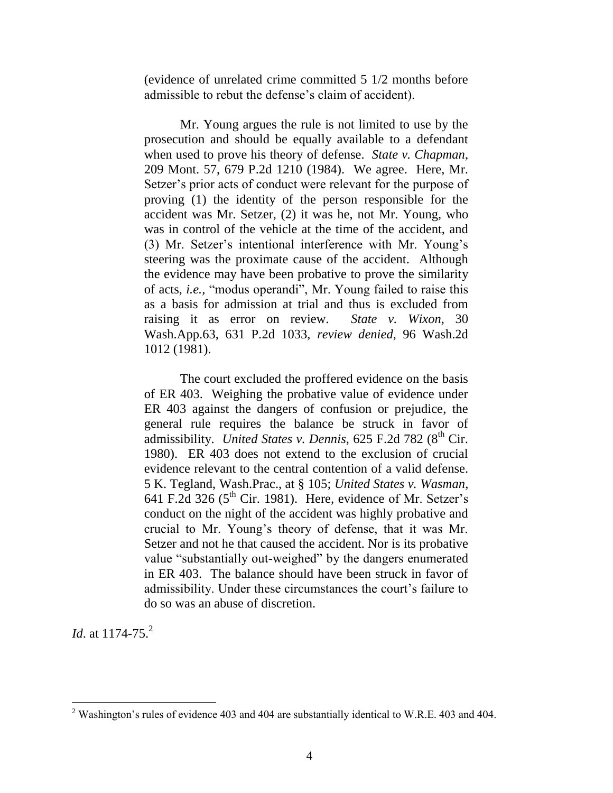(evidence of unrelated crime committed 5 1/2 months before admissible to rebut the defense's claim of accident).

Mr. Young argues the rule is not limited to use by the prosecution and should be equally available to a defendant when used to prove his theory of defense. *State v. Chapman*, 209 Mont. 57, 679 P.2d 1210 (1984). We agree. Here, Mr. Setzer's prior acts of conduct were relevant for the purpose of proving (1) the identity of the person responsible for the accident was Mr. Setzer, (2) it was he, not Mr. Young, who was in control of the vehicle at the time of the accident, and (3) Mr. Setzer's intentional interference with Mr. Young's steering was the proximate cause of the accident. Although the evidence may have been probative to prove the similarity of acts, *i.e.,* "modus operandi", Mr. Young failed to raise this as a basis for admission at trial and thus is excluded from raising it as error on review. *State v. Wixon*, 30 Wash.App.63, 631 P.2d 1033, *review denied*, 96 Wash.2d 1012 (1981).

The court excluded the proffered evidence on the basis of ER 403. Weighing the probative value of evidence under ER 403 against the dangers of confusion or prejudice, the general rule requires the balance be struck in favor of admissibility. *United States v. Dennis*, 625 F.2d 782 (8<sup>th</sup> Cir. 1980). ER 403 does not extend to the exclusion of crucial evidence relevant to the central contention of a valid defense. 5 K. Tegland, Wash.Prac., at § 105; *United States v. Wasman*, 641 F.2d 326 ( $5<sup>th</sup>$  Cir. 1981). Here, evidence of Mr. Setzer's conduct on the night of the accident was highly probative and crucial to Mr. Young's theory of defense, that it was Mr. Setzer and not he that caused the accident. Nor is its probative value "substantially out-weighed" by the dangers enumerated in ER 403. The balance should have been struck in favor of admissibility. Under these circumstances the court's failure to do so was an abuse of discretion.

*Id.* at 1174-75.<sup>2</sup>

 $2$  Washington's rules of evidence 403 and 404 are substantially identical to W.R.E. 403 and 404.